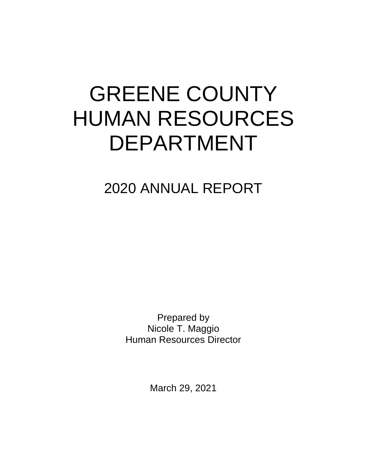# GREENE COUNTY HUMAN RESOURCES DEPARTMENT

2020 ANNUAL REPORT

Prepared by Nicole T. Maggio Human Resources Director

March 29, 2021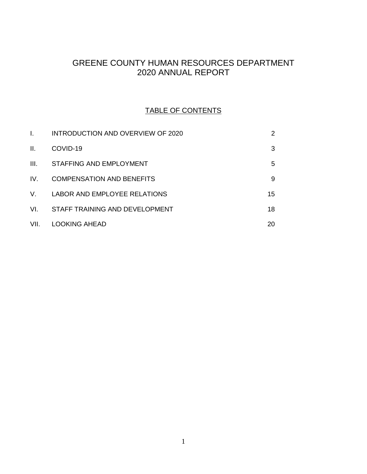# GREENE COUNTY HUMAN RESOURCES DEPARTMENT 2020 ANNUAL REPORT

# TABLE OF CONTENTS

|      | INTRODUCTION AND OVERVIEW OF 2020 | 2  |
|------|-----------------------------------|----|
| H.   | COVID-19                          | 3  |
| III. | STAFFING AND EMPLOYMENT           | 5  |
| IV.  | COMPENSATION AND BENEFITS         | 9  |
| V.   | LABOR AND EMPLOYEE RELATIONS      | 15 |
| VL.  | STAFF TRAINING AND DEVELOPMENT    | 18 |
| VII. | <b>LOOKING AHEAD</b>              | 20 |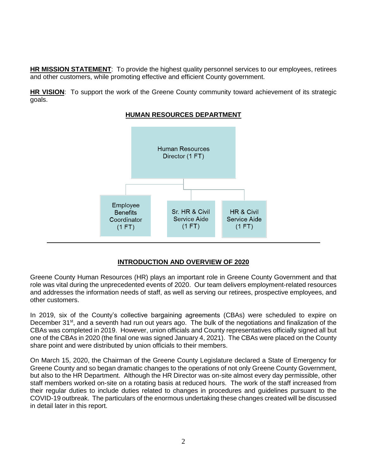**HR MISSION STATEMENT**: To provide the highest quality personnel services to our employees, retirees and other customers, while promoting effective and efficient County government.

**HR VISION:** To support the work of the Greene County community toward achievement of its strategic goals.



# **HUMAN RESOURCES DEPARTMENT**

#### **INTRODUCTION AND OVERVIEW OF 2020**

Greene County Human Resources (HR) plays an important role in Greene County Government and that role was vital during the unprecedented events of 2020. Our team delivers employment-related resources and addresses the information needs of staff, as well as serving our retirees, prospective employees, and other customers.

In 2019, six of the County's collective bargaining agreements (CBAs) were scheduled to expire on December 31<sup>st</sup>, and a seventh had run out years ago. The bulk of the negotiations and finalization of the CBAs was completed in 2019. However, union officials and County representatives officially signed all but one of the CBAs in 2020 (the final one was signed January 4, 2021). The CBAs were placed on the County share point and were distributed by union officials to their members.

On March 15, 2020, the Chairman of the Greene County Legislature declared a State of Emergency for Greene County and so began dramatic changes to the operations of not only Greene County Government, but also to the HR Department. Although the HR Director was on-site almost every day permissible, other staff members worked on-site on a rotating basis at reduced hours. The work of the staff increased from their regular duties to include duties related to changes in procedures and guidelines pursuant to the COVID-19 outbreak. The particulars of the enormous undertaking these changes created will be discussed in detail later in this report.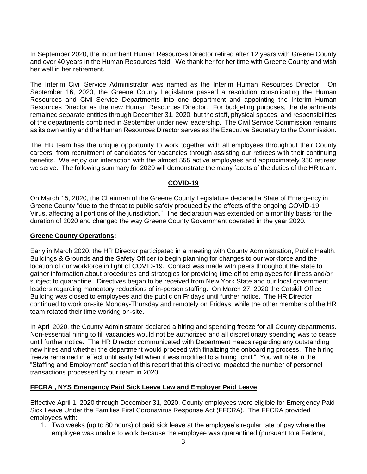In September 2020, the incumbent Human Resources Director retired after 12 years with Greene County and over 40 years in the Human Resources field. We thank her for her time with Greene County and wish her well in her retirement.

The Interim Civil Service Administrator was named as the Interim Human Resources Director. On September 16, 2020, the Greene County Legislature passed a resolution consolidating the Human Resources and Civil Service Departments into one department and appointing the Interim Human Resources Director as the new Human Resources Director. For budgeting purposes, the departments remained separate entities through December 31, 2020, but the staff, physical spaces, and responsibilities of the departments combined in September under new leadership. The Civil Service Commission remains as its own entity and the Human Resources Director serves as the Executive Secretary to the Commission.

The HR team has the unique opportunity to work together with all employees throughout their County careers, from recruitment of candidates for vacancies through assisting our retirees with their continuing benefits. We enjoy our interaction with the almost 555 active employees and approximately 350 retirees we serve. The following summary for 2020 will demonstrate the many facets of the duties of the HR team.

#### **COVID-19**

On March 15, 2020, the Chairman of the Greene County Legislature declared a State of Emergency in Greene County "due to the threat to public safety produced by the effects of the ongoing COVID-19 Virus, affecting all portions of the jurisdiction." The declaration was extended on a monthly basis for the duration of 2020 and changed the way Greene County Government operated in the year 2020.

#### **Greene County Operations:**

Early in March 2020, the HR Director participated in a meeting with County Administration, Public Health, Buildings & Grounds and the Safety Officer to begin planning for changes to our workforce and the location of our workforce in light of COVID-19. Contact was made with peers throughout the state to gather information about procedures and strategies for providing time off to employees for illness and/or subject to quarantine. Directives began to be received from New York State and our local government leaders regarding mandatory reductions of in-person staffing. On March 27, 2020 the Catskill Office Building was closed to employees and the public on Fridays until further notice. The HR Director continued to work on-site Monday-Thursday and remotely on Fridays, while the other members of the HR team rotated their time working on-site.

In April 2020, the County Administrator declared a hiring and spending freeze for all County departments. Non-essential hiring to fill vacancies would not be authorized and all discretionary spending was to cease until further notice. The HR Director communicated with Department Heads regarding any outstanding new hires and whether the department would proceed with finalizing the onboarding process. The hiring freeze remained in effect until early fall when it was modified to a hiring "chill." You will note in the "Staffing and Employment" section of this report that this directive impacted the number of personnel transactions processed by our team in 2020.

#### **FFCRA , NYS Emergency Paid Sick Leave Law and Employer Paid Leave:**

Effective April 1, 2020 through December 31, 2020, County employees were eligible for Emergency Paid Sick Leave Under the Families First Coronavirus Response Act (FFCRA). The FFCRA provided employees with:

1. Two weeks (up to 80 hours) of paid sick leave at the employee's regular rate of pay where the employee was unable to work because the employee was quarantined (pursuant to a Federal,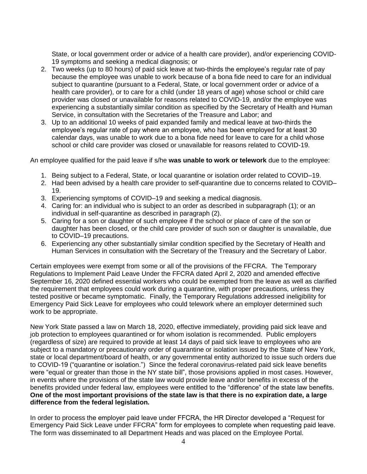State, or local government order or advice of a health care provider), and/or experiencing COVID-19 symptoms and seeking a medical diagnosis; or

- 2. Two weeks (up to 80 hours) of paid sick leave at two-thirds the employee's regular rate of pay because the employee was unable to work because of a bona fide need to care for an individual subject to quarantine (pursuant to a Federal, State, or local government order or advice of a health care provider), or to care for a child (under 18 years of age) whose school or child care provider was closed or unavailable for reasons related to COVID-19, and/or the employee was experiencing a substantially similar condition as specified by the Secretary of Health and Human Service, in consultation with the Secretaries of the Treasure and Labor; and
- 3. Up to an additional 10 weeks of paid expanded family and medical leave at two-thirds the employee's regular rate of pay where an employee, who has been employed for at least 30 calendar days, was unable to work due to a bona fide need for leave to care for a child whose school or child care provider was closed or unavailable for reasons related to COVID-19.

An employee qualified for the paid leave if s/he **was unable to work or telework** due to the employee:

- 1. Being subject to a Federal, State, or local quarantine or isolation order related to COVID–19.
- 2. Had been advised by a health care provider to self-quarantine due to concerns related to COVID– 19.
- 3. Experiencing symptoms of COVID–19 and seeking a medical diagnosis.
- 4. Caring for: an individual who is subject to an order as described in subparagraph (1); or an individual in self-quarantine as described in paragraph (2).
- 5. Caring for a son or daughter of such employee if the school or place of care of the son or daughter has been closed, or the child care provider of such son or daughter is unavailable, due to COVID–19 precautions.
- 6. Experiencing any other substantially similar condition specified by the Secretary of Health and Human Services in consultation with the Secretary of the Treasury and the Secretary of Labor.

Certain employees were exempt from some or all of the provisions of the FFCRA. The Temporary Regulations to Implement Paid Leave Under the FFCRA dated April 2, 2020 and amended effective September 16, 2020 defined essential workers who could be exempted from the leave as well as clarified the requirement that employees could work during a quarantine, with proper precautions, unless they tested positive or became symptomatic. Finally, the Temporary Regulations addressed ineligibility for Emergency Paid Sick Leave for employees who could telework where an employer determined such work to be appropriate.

New York State passed a law on March 18, 2020, effective immediately, providing paid sick leave and job protection to employees quarantined or for whom isolation is recommended. Public employers (regardless of size) are required to provide at least 14 days of paid sick leave to employees who are subject to a mandatory or precautionary order of quarantine or isolation issued by the State of New York, state or local department/board of health, or any governmental entity authorized to issue such orders due to COVID-19 ("quarantine or isolation.") Since the federal coronavirus-related paid sick leave benefits were "equal or greater than those in the NY state bill", those provisions applied in most cases. However, in events where the provisions of the state law would provide leave and/or benefits in excess of the benefits provided under federal law, employees were entitled to the "difference" of the state law benefits. **One of the most important provisions of the state law is that there is no expiration date, a large difference from the federal legislation.**

In order to process the employer paid leave under FFCRA, the HR Director developed a "Request for Emergency Paid Sick Leave under FFCRA" form for employees to complete when requesting paid leave. The form was disseminated to all Department Heads and was placed on the Employee Portal.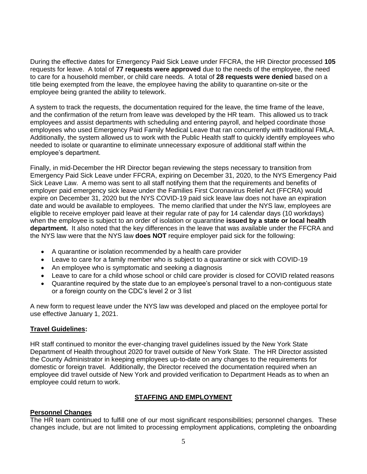During the effective dates for Emergency Paid Sick Leave under FFCRA, the HR Director processed **105** requests for leave. A total of **77 requests were approved** due to the needs of the employee, the need to care for a household member, or child care needs. A total of **28 requests were denied** based on a title being exempted from the leave, the employee having the ability to quarantine on-site or the employee being granted the ability to telework.

A system to track the requests, the documentation required for the leave, the time frame of the leave, and the confirmation of the return from leave was developed by the HR team. This allowed us to track employees and assist departments with scheduling and entering payroll, and helped coordinate those employees who used Emergency Paid Family Medical Leave that ran concurrently with traditional FMLA. Additionally, the system allowed us to work with the Public Health staff to quickly identify employees who needed to isolate or quarantine to eliminate unnecessary exposure of additional staff within the employee's department.

Finally, in mid-December the HR Director began reviewing the steps necessary to transition from Emergency Paid Sick Leave under FFCRA, expiring on December 31, 2020, to the NYS Emergency Paid Sick Leave Law. A memo was sent to all staff notifying them that the requirements and benefits of employer paid emergency sick leave under the Families First Coronavirus Relief Act (FFCRA) would expire on December 31, 2020 but the NYS COVID-19 paid sick leave law does not have an expiration date and would be available to employees. The memo clarified that under the NYS law, employees are eligible to receive employer paid leave at their regular rate of pay for 14 calendar days (10 workdays) when the employee is subject to an order of isolation or quarantine **issued by a state or local health department.** It also noted that the key differences in the leave that was available under the FFCRA and the NYS law were that the NYS law **does NOT** require employer paid sick for the following:

- A quarantine or isolation recommended by a health care provider
- Leave to care for a family member who is subject to a quarantine or sick with COVID-19
- An employee who is symptomatic and seeking a diagnosis
- Leave to care for a child whose school or child care provider is closed for COVID related reasons
- Quarantine required by the state due to an employee's personal travel to a non-contiguous state or a foreign county on the CDC's level 2 or 3 list

A new form to request leave under the NYS law was developed and placed on the employee portal for use effective January 1, 2021.

#### **Travel Guidelines:**

HR staff continued to monitor the ever-changing travel guidelines issued by the New York State Department of Health throughout 2020 for travel outside of New York State. The HR Director assisted the County Administrator in keeping employees up-to-date on any changes to the requirements for domestic or foreign travel. Additionally, the Director received the documentation required when an employee did travel outside of New York and provided verification to Department Heads as to when an employee could return to work.

#### **STAFFING AND EMPLOYMENT**

#### **Personnel Changes**

The HR team continued to fulfill one of our most significant responsibilities; personnel changes. These changes include, but are not limited to processing employment applications, completing the onboarding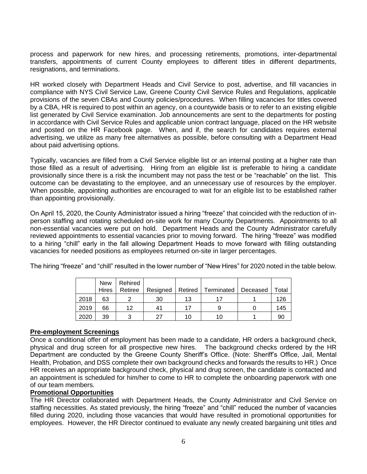process and paperwork for new hires, and processing retirements, promotions, inter-departmental transfers, appointments of current County employees to different titles in different departments, resignations, and terminations.

HR worked closely with Department Heads and Civil Service to post, advertise, and fill vacancies in compliance with NYS Civil Service Law, Greene County Civil Service Rules and Regulations, applicable provisions of the seven CBAs and County policies/procedures. When filling vacancies for titles covered by a CBA, HR is required to post within an agency, on a countywide basis or to refer to an existing eligible list generated by Civil Service examination. Job announcements are sent to the departments for posting in accordance with Civil Service Rules and applicable union contract language, placed on the HR website and posted on the HR Facebook page. When, and if, the search for candidates requires external advertising, we utilize as many free alternatives as possible, before consulting with a Department Head about paid advertising options.

Typically, vacancies are filled from a Civil Service eligible list or an internal posting at a higher rate than those filled as a result of advertising. Hiring from an eligible list is preferable to hiring a candidate provisionally since there is a risk the incumbent may not pass the test or be "reachable" on the list. This outcome can be devastating to the employee, and an unnecessary use of resources by the employer. When possible, appointing authorities are encouraged to wait for an eligible list to be established rather than appointing provisionally.

On April 15, 2020, the County Administrator issued a hiring "freeze" that coincided with the reduction of inperson staffing and rotating scheduled on-site work for many County Departments. Appointments to all non-essential vacancies were put on hold. Department Heads and the County Administrator carefully reviewed appointments to essential vacancies prior to moving forward. The hiring "freeze" was modified to a hiring "chill" early in the fall allowing Department Heads to move forward with filling outstanding vacancies for needed positions as employees returned on-site in larger percentages.

The hiring "freeze" and "chill" resulted in the lower number of "New Hires" for 2020 noted in the table below.

|      | <b>New</b><br><b>Hires</b> | Rehired<br>Retiree | Resigned |    | Retired   Terminated | Deceased | Total |
|------|----------------------------|--------------------|----------|----|----------------------|----------|-------|
| 2018 | 63                         |                    | 30       | 13 |                      |          | 126   |
| 2019 | 66                         | 12                 | 41       | 17 |                      |          | 145   |
| 2020 | 39                         |                    | 27       | 10 | 10                   |          | 90    |

#### **Pre-employment Screenings**

Once a conditional offer of employment has been made to a candidate, HR orders a background check, physical and drug screen for all prospective new hires. The background checks ordered by the HR Department are conducted by the Greene County Sheriff's Office. (Note: Sheriff's Office, Jail, Mental Health, Probation, and DSS complete their own background checks and forwards the results to HR.) Once HR receives an appropriate background check, physical and drug screen, the candidate is contacted and an appointment is scheduled for him/her to come to HR to complete the onboarding paperwork with one of our team members.

#### **Promotional Opportunities**

The HR Director collaborated with Department Heads, the County Administrator and Civil Service on staffing necessities. As stated previously, the hiring "freeze" and "chill" reduced the number of vacancies filled during 2020, including those vacancies that would have resulted in promotional opportunities for employees. However, the HR Director continued to evaluate any newly created bargaining unit titles and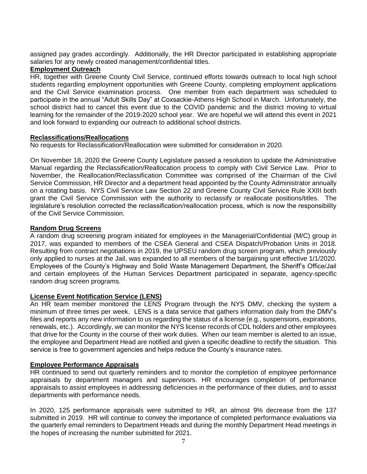assigned pay grades accordingly. Additionally, the HR Director participated in establishing appropriate salaries for any newly created management/confidential titles.

#### **Employment Outreach**

HR, together with Greene County Civil Service, continued efforts towards outreach to local high school students regarding employment opportunities with Greene County, completing employment applications and the Civil Service examination process. One member from each department was scheduled to participate in the annual "Adult Skills Day" at Coxsackie-Athens High School in March. Unfortunately, the school district had to cancel this event due to the COVID pandemic and the district moving to virtual learning for the remainder of the 2019-2020 school year. We are hopeful we will attend this event in 2021 and look forward to expanding our outreach to additional school districts.

#### **Reclassifications/Reallocations**

No requests for Reclassification/Reallocation were submitted for consideration in 2020.

On November 18, 2020 the Greene County Legislature passed a resolution to update the Administrative Manual regarding the Reclassification/Reallocation process to comply with Civil Service Law. Prior to November, the Reallocation/Reclassification Committee was comprised of the Chairman of the Civil Service Commission, HR Director and a department head appointed by the County Administrator annually on a rotating basis. NYS Civil Service Law Section 22 and Greene County Civil Service Rule XXIII both grant the Civil Service Commission with the authority to reclassify or reallocate positions/titles. The legislature's resolution corrected the reclassification/reallocation process, which is now the responsibility of the Civil Service Commission.

#### **Random Drug Screens**

A random drug screening program initiated for employees in the Managerial/Confidential (M/C) group in 2017, was expanded to members of the CSEA General and CSEA Dispatch/Probation Units in 2018. Resulting from contract negotiations in 2019, the UPSEU random drug screen program, which previously only applied to nurses at the Jail, was expanded to all members of the bargaining unit effective 1/1/2020. Employees of the County's Highway and Solid Waste Management Department, the Sheriff's Office/Jail and certain employees of the Human Services Department participated in separate, agency-specific random drug screen programs.

#### **License Event Notification Service (LENS)**

An HR team member monitored the LENS Program through the NYS DMV, checking the system a minimum of three times per week. LENS is a data service that gathers information daily from the DMV's files and reports any new information to us regarding the status of a license (e.g., suspensions, expirations, renewals, etc.). Accordingly, we can monitor the NYS license records of CDL holders and other employees that drive for the County in the course of their work duties. When our team member is alerted to an issue, the employee and Department Head are notified and given a specific deadline to rectify the situation. This service is free to government agencies and helps reduce the County's insurance rates.

#### **Employee Performance Appraisals**

HR continued to send out quarterly reminders and to monitor the completion of employee performance appraisals by department managers and supervisors. HR encourages completion of performance appraisals to assist employees in addressing deficiencies in the performance of their duties, and to assist departments with performance needs.

In 2020, 125 performance appraisals were submitted to HR, an almost 9% decrease from the 137 submitted in 2019. HR will continue to convey the importance of completed performance evaluations via the quarterly email reminders to Department Heads and during the monthly Department Head meetings in the hopes of increasing the number submitted for 2021.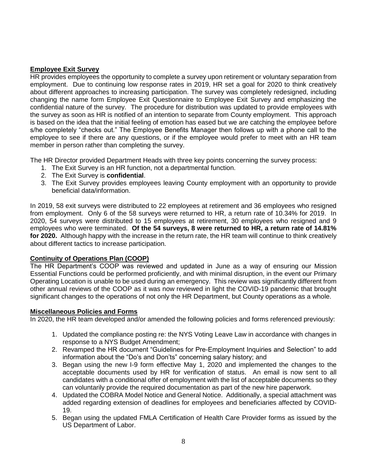#### **Employee Exit Survey**

HR provides employees the opportunity to complete a survey upon retirement or voluntary separation from employment. Due to continuing low response rates in 2019, HR set a goal for 2020 to think creatively about different approaches to increasing participation. The survey was completely redesigned, including changing the name form Employee Exit Questionnaire to Employee Exit Survey and emphasizing the confidential nature of the survey. The procedure for distribution was updated to provide employees with the survey as soon as HR is notified of an intention to separate from County employment. This approach is based on the idea that the initial feeling of emotion has eased but we are catching the employee before s/he completely "checks out." The Employee Benefits Manager then follows up with a phone call to the employee to see if there are any questions, or if the employee would prefer to meet with an HR team member in person rather than completing the survey.

The HR Director provided Department Heads with three key points concerning the survey process:

- 1. The Exit Survey is an HR function, not a departmental function.
- 2. The Exit Survey is **confidential**.
- 3. The Exit Survey provides employees leaving County employment with an opportunity to provide beneficial data/information.

In 2019, 58 exit surveys were distributed to 22 employees at retirement and 36 employees who resigned from employment. Only 6 of the 58 surveys were returned to HR, a return rate of 10.34% for 2019. In 2020, 54 surveys were distributed to 15 employees at retirement, 30 employees who resigned and 9 employees who were terminated. **Of the 54 surveys, 8 were returned to HR, a return rate of 14.81% for 2020.** Although happy with the increase in the return rate, the HR team will continue to think creatively about different tactics to increase participation.

#### **Continuity of Operations Plan (COOP)**

The HR Department's COOP was reviewed and updated in June as a way of ensuring our Mission Essential Functions could be performed proficiently, and with minimal disruption, in the event our Primary Operating Location is unable to be used during an emergency. This review was significantly different from other annual reviews of the COOP as it was now reviewed in light the COVID-19 pandemic that brought significant changes to the operations of not only the HR Department, but County operations as a whole.

#### **Miscellaneous Policies and Forms**

In 2020, the HR team developed and/or amended the following policies and forms referenced previously:

- 1. Updated the compliance posting re: the NYS Voting Leave Law in accordance with changes in response to a NYS Budget Amendment;
- 2. Revamped the HR document "Guidelines for Pre-Employment Inquiries and Selection" to add information about the "Do's and Don'ts" concerning salary history; and
- 3. Began using the new I-9 form effective May 1, 2020 and implemented the changes to the acceptable documents used by HR for verification of status. An email is now sent to all candidates with a conditional offer of employment with the list of acceptable documents so they can voluntarily provide the required documentation as part of the new hire paperwork.
- 4. Updated the COBRA Model Notice and General Notice. Additionally, a special attachment was added regarding extension of deadlines for employees and beneficiaries affected by COVID-19.
- 5. Began using the updated FMLA Certification of Health Care Provider forms as issued by the US Department of Labor.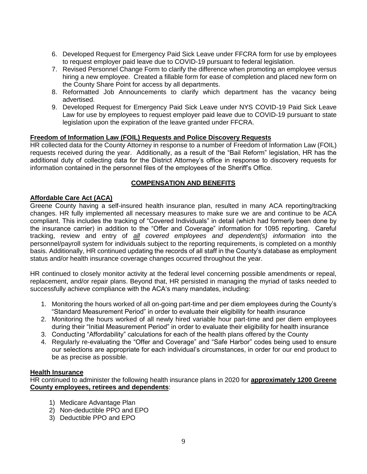- 6. Developed Request for Emergency Paid Sick Leave under FFCRA form for use by employees to request employer paid leave due to COVID-19 pursuant to federal legislation.
- 7. Revised Personnel Change Form to clarify the difference when promoting an employee versus hiring a new employee. Created a fillable form for ease of completion and placed new form on the County Share Point for access by all departments.
- 8. Reformatted Job Announcements to clarify which department has the vacancy being advertised.
- 9. Developed Request for Emergency Paid Sick Leave under NYS COVID-19 Paid Sick Leave Law for use by employees to request employer paid leave due to COVID-19 pursuant to state legislation upon the expiration of the leave granted under FFCRA.

#### **Freedom of Information Law (FOIL) Requests and Police Discovery Requests**

HR collected data for the County Attorney in response to a number of Freedom of Information Law (FOIL) requests received during the year. Additionally, as a result of the "Bail Reform" legislation, HR has the additional duty of collecting data for the District Attorney's office in response to discovery requests for information contained in the personnel files of the employees of the Sheriff's Office.

#### **COMPENSATION AND BENEFITS**

#### **Affordable Care Act (ACA)**

Greene County having a self-insured health insurance plan, resulted in many ACA reporting/tracking changes. HR fully implemented all necessary measures to make sure we are and continue to be ACA compliant. This includes the tracking of "Covered Individuals" in detail (which had formerly been done by the insurance carrier) in addition to the "Offer and Coverage" information for 1095 reporting. Careful tracking, review and entry of *all covered employees and dependent(s) information* into the personnel/payroll system for individuals subject to the reporting requirements, is completed on a monthly basis. Additionally, HR continued updating the records of all staff in the County's database as employment status and/or health insurance coverage changes occurred throughout the year.

HR continued to closely monitor activity at the federal level concerning possible amendments or repeal, replacement, and/or repair plans. Beyond that, HR persisted in managing the myriad of tasks needed to successfully achieve compliance with the ACA's many mandates, including:

- 1. Monitoring the hours worked of all on-going part-time and per diem employees during the County's "Standard Measurement Period" in order to evaluate their eligibility for health insurance
- 2. Monitoring the hours worked of all newly hired variable hour part-time and per diem employees during their "Initial Measurement Period" in order to evaluate their eligibility for health insurance
- 3. Conducting "Affordability" calculations for each of the health plans offered by the County
- 4. Regularly re-evaluating the "Offer and Coverage" and "Safe Harbor" codes being used to ensure our selections are appropriate for each individual's circumstances, in order for our end product to be as precise as possible.

#### **Health Insurance**

HR continued to administer the following health insurance plans in 2020 for **approximately 1200 Greene County employees, retirees and dependents**:

- 1) Medicare Advantage Plan
- 2) Non-deductible PPO and EPO
- 3) Deductible PPO and EPO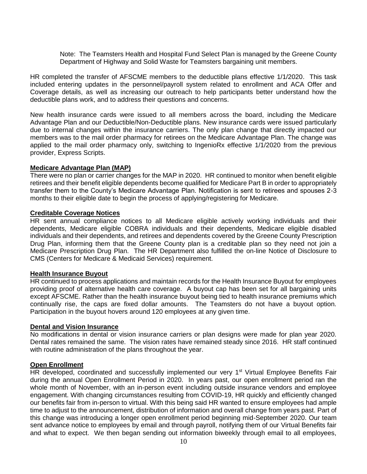Note: The Teamsters Health and Hospital Fund Select Plan is managed by the Greene County Department of Highway and Solid Waste for Teamsters bargaining unit members.

HR completed the transfer of AFSCME members to the deductible plans effective 1/1/2020. This task included entering updates in the personnel/payroll system related to enrollment and ACA Offer and Coverage details, as well as increasing our outreach to help participants better understand how the deductible plans work, and to address their questions and concerns.

New health insurance cards were issued to all members across the board, including the Medicare Advantage Plan and our Deductible/Non-Deductible plans. New insurance cards were issued particularly due to internal changes within the insurance carriers. The only plan change that directly impacted our members was to the mail order pharmacy for retirees on the Medicare Advantage Plan. The change was applied to the mail order pharmacy only, switching to IngenioRx effective 1/1/2020 from the previous provider, Express Scripts.

#### **Medicare Advantage Plan (MAP)**

There were no plan or carrier changes for the MAP in 2020. HR continued to monitor when benefit eligible retirees and their benefit eligible dependents become qualified for Medicare Part B in order to appropriately transfer them to the County's Medicare Advantage Plan. Notification is sent to retirees and spouses 2-3 months to their eligible date to begin the process of applying/registering for Medicare.

#### **Creditable Coverage Notices**

HR sent annual compliance notices to all Medicare eligible actively working individuals and their dependents, Medicare eligible COBRA individuals and their dependents, Medicare eligible disabled individuals and their dependents, and retirees and dependents covered by the Greene County Prescription Drug Plan, informing them that the Greene County plan is a creditable plan so they need not join a Medicare Prescription Drug Plan. The HR Department also fulfilled the on-line Notice of Disclosure to CMS (Centers for Medicare & Medicaid Services) requirement.

#### **Health Insurance Buyout**

HR continued to process applications and maintain records for the Health Insurance Buyout for employees providing proof of alternative health care coverage. A buyout cap has been set for all bargaining units except AFSCME. Rather than the health insurance buyout being tied to health insurance premiums which continually rise, the caps are fixed dollar amounts. The Teamsters do not have a buyout option. Participation in the buyout hovers around 120 employees at any given time.

#### **Dental and Vision Insurance**

No modifications in dental or vision insurance carriers or plan designs were made for plan year 2020. Dental rates remained the same. The vision rates have remained steady since 2016. HR staff continued with routine administration of the plans throughout the year.

#### **Open Enrollment**

HR developed, coordinated and successfully implemented our very 1<sup>st</sup> Virtual Employee Benefits Fair during the annual Open Enrollment Period in 2020. In years past, our open enrollment period ran the whole month of November, with an in-person event including outside insurance vendors and employee engagement. With changing circumstances resulting from COVID-19, HR quickly and efficiently changed our benefits fair from in-person to virtual. With this being said HR wanted to ensure employees had ample time to adjust to the announcement, distribution of information and overall change from years past. Part of this change was introducing a longer open enrollment period beginning mid-September 2020. Our team sent advance notice to employees by email and through payroll, notifying them of our Virtual Benefits fair and what to expect. We then began sending out information biweekly through email to all employees,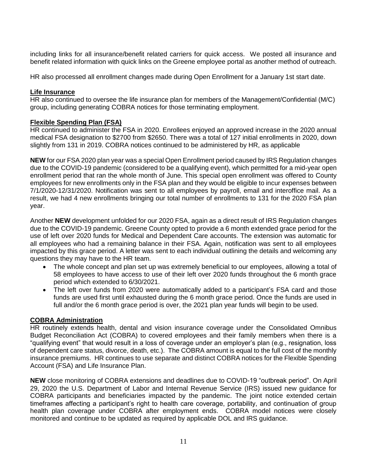including links for all insurance/benefit related carriers for quick access. We posted all insurance and benefit related information with quick links on the Greene employee portal as another method of outreach.

HR also processed all enrollment changes made during Open Enrollment for a January 1st start date.

#### **Life Insurance**

HR also continued to oversee the life insurance plan for members of the Management/Confidential (M/C) group, including generating COBRA notices for those terminating employment.

#### **Flexible Spending Plan (FSA)**

HR continued to administer the FSA in 2020. Enrollees enjoyed an approved increase in the 2020 annual medical FSA designation to \$2700 from \$2650. There was a total of 127 initial enrollments in 2020, down slightly from 131 in 2019. COBRA notices continued to be administered by HR, as applicable

**NEW** for our FSA 2020 plan year was a special Open Enrollment period caused by IRS Regulation changes due to the COVID-19 pandemic (considered to be a qualifying event), which permitted for a mid-year open enrollment period that ran the whole month of June. This special open enrollment was offered to County employees for new enrollments only in the FSA plan and they would be eligible to incur expenses between 7/1/2020-12/31/2020. Notification was sent to all employees by payroll, email and interoffice mail. As a result, we had 4 new enrollments bringing our total number of enrollments to 131 for the 2020 FSA plan year.

Another **NEW** development unfolded for our 2020 FSA, again as a direct result of IRS Regulation changes due to the COVID-19 pandemic. Greene County opted to provide a 6 month extended grace period for the use of left over 2020 funds for Medical and Dependent Care accounts. The extension was automatic for all employees who had a remaining balance in their FSA. Again, notification was sent to all employees impacted by this grace period. A letter was sent to each individual outlining the details and welcoming any questions they may have to the HR team.

- The whole concept and plan set up was extremely beneficial to our employees, allowing a total of 58 employees to have access to use of their left over 2020 funds throughout the 6 month grace period which extended to 6/30/2021.
- The left over funds from 2020 were automatically added to a participant's FSA card and those funds are used first until exhausted during the 6 month grace period. Once the funds are used in full and/or the 6 month grace period is over, the 2021 plan year funds will begin to be used.

#### **COBRA Administration**

HR routinely extends health, dental and vision insurance coverage under the Consolidated Omnibus Budget Reconciliation Act (COBRA) to covered employees and their family members when there is a "qualifying event" that would result in a loss of coverage under an employer's plan (e.g., resignation, loss of dependent care status, divorce, death, etc.). The COBRA amount is equal to the full cost of the monthly insurance premiums. HR continues to use separate and distinct COBRA notices for the Flexible Spending Account (FSA) and Life Insurance Plan.

**NEW** close monitoring of COBRA extensions and deadlines due to COVID-19 "outbreak period". On April 29, 2020 the U.S. Department of Labor and Internal Revenue Service (IRS) issued new guidance for COBRA participants and beneficiaries impacted by the pandemic. The joint notice extended certain timeframes affecting a participant's right to health care coverage, portability, and continuation of group health plan coverage under COBRA after employment ends. COBRA model notices were closely monitored and continue to be updated as required by applicable DOL and IRS guidance.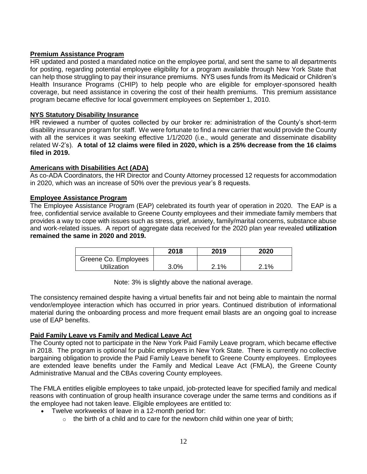# **Premium Assistance Program**

HR updated and posted a mandated notice on the employee portal, and sent the same to all departments for posting, regarding potential employee eligibility for a program available through New York State that can help those struggling to pay their insurance premiums. NYS uses funds from its Medicaid or Children's Health Insurance Programs (CHIP) to help people who are eligible for employer-sponsored health coverage, but need assistance in covering the cost of their health premiums. This premium assistance program became effective for local government employees on September 1, 2010.

# **NYS Statutory Disability Insurance**

HR reviewed a number of quotes collected by our broker re: administration of the County's short-term disability insurance program for staff. We were fortunate to find a new carrier that would provide the County with all the services it was seeking effective  $1/1/2020$  (i.e., would generate and disseminate disability related W-2's). **A total of 12 claims were filed in 2020, which is a 25% decrease from the 16 claims filed in 2019.**

# **Americans with Disabilities Act (ADA)**

As co-ADA Coordinators, the HR Director and County Attorney processed 12 requests for accommodation in 2020, which was an increase of 50% over the previous year's 8 requests.

#### **Employee Assistance Program**

The Employee Assistance Program (EAP) celebrated its fourth year of operation in 2020.The EAP is a free, confidential service available to Greene County employees and their immediate family members that provides a way to cope with issues such as stress, grief, anxiety, family/marital concerns, substance abuse and work-related issues. A report of aggregate data received for the 2020 plan year revealed **utilization remained the same in 2020 and 2019.** 

|                      | 2018 | 2019 | 2020 |
|----------------------|------|------|------|
| Greene Co. Employees |      |      |      |
| Jtilization          | 3.0% | 2.1% | 2.1% |

Note: 3% is slightly above the national average.

The consistency remained despite having a virtual benefits fair and not being able to maintain the normal vendor/employee interaction which has occurred in prior years. Continued distribution of informational material during the onboarding process and more frequent email blasts are an ongoing goal to increase use of EAP benefits.

#### **Paid Family Leave vs Family and Medical Leave Act**

The County opted not to participate in the New York Paid Family Leave program, which became effective in 2018. The program is optional for public employers in New York State. There is currently no collective bargaining obligation to provide the Paid Family Leave benefit to Greene County employees. Employees are extended leave benefits under the Family and Medical Leave Act (FMLA), the Greene County Administrative Manual and the CBAs covering County employees.

The FMLA entitles eligible employees to take unpaid, job-protected leave for specified family and medical reasons with continuation of group health insurance coverage under the same terms and conditions as if the employee had not taken leave. Eligible employees are entitled to:

- Twelve workweeks of leave in a 12-month period for:
	- $\circ$  the birth of a child and to care for the newborn child within one year of birth;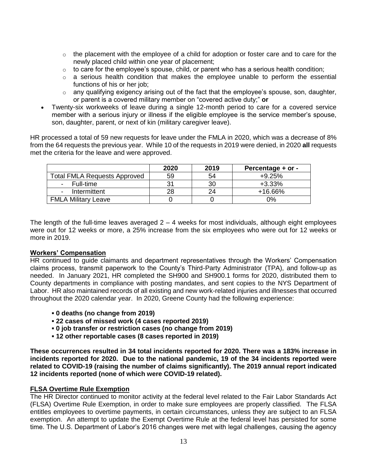- $\circ$  the placement with the employee of a child for adoption or foster care and to care for the newly placed child within one year of placement;
- $\circ$  to care for the employee's spouse, child, or parent who has a serious health condition;
- $\circ$  a serious health condition that makes the employee unable to perform the essential functions of his or her job;
- o any qualifying exigency arising out of the fact that the employee's spouse, son, daughter, or parent is a covered military member on "covered active duty;" **or**
- Twenty-six workweeks of leave during a single 12-month period to care for a covered service member with a serious injury or illness if the eligible employee is the service member's spouse, son, daughter, parent, or next of kin (military caregiver leave).

HR processed a total of 59 new requests for leave under the FMLA in 2020, which was a decrease of 8% from the 64 requests the previous year. While 10 of the requests in 2019 were denied, in 2020 **all** requests met the criteria for the leave and were approved.

|                                          | 2020 | 2019 | Percentage + or - |
|------------------------------------------|------|------|-------------------|
| <b>Total FMLA Requests Approved</b>      | 59   | 54   | $+9.25%$          |
| Full-time<br>$\sim$                      |      | 30   | $+3.33\%$         |
| Intermittent<br>$\overline{\phantom{a}}$ |      | 24   | +16.66%           |
| <b>FMLA Military Leave</b>               |      |      | 0%                |

The length of the full-time leaves averaged  $2 - 4$  weeks for most individuals, although eight employees were out for 12 weeks or more, a 25% increase from the six employees who were out for 12 weeks or more in 2019.

#### **Workers' Compensation**

HR continued to guide claimants and department representatives through the Workers' Compensation claims process, transmit paperwork to the County's Third-Party Administrator (TPA), and follow-up as needed. In January 2021, HR completed the SH900 and SH900.1 forms for 2020, distributed them to County departments in compliance with posting mandates, and sent copies to the NYS Department of Labor. HR also maintained records of all existing and new work-related injuries and illnesses that occurred throughout the 2020 calendar year. In 2020, Greene County had the following experience:

- **▪ 0 deaths (no change from 2019)**
- **▪ 22 cases of missed work (4 cases reported 2019)**
- **▪ 0 job transfer or restriction cases (no change from 2019)**
- **▪ 12 other reportable cases (8 cases reported in 2019)**

**These occurrences resulted in 34 total incidents reported for 2020. There was a 183% increase in incidents reported for 2020. Due to the national pandemic, 19 of the 34 incidents reported were related to COVID-19 (raising the number of claims significantly). The 2019 annual report indicated 12 incidents reported (none of which were COVID-19 related).** 

#### **FLSA Overtime Rule Exemption**

The HR Director continued to monitor activity at the federal level related to the Fair Labor Standards Act (FLSA) Overtime Rule Exemption, in order to make sure employees are properly classified. The FLSA entitles employees to overtime payments, in certain circumstances, unless they are subject to an FLSA exemption. An attempt to update the Exempt Overtime Rule at the federal level has persisted for some time. The U.S. Department of Labor's 2016 changes were met with legal challenges, causing the agency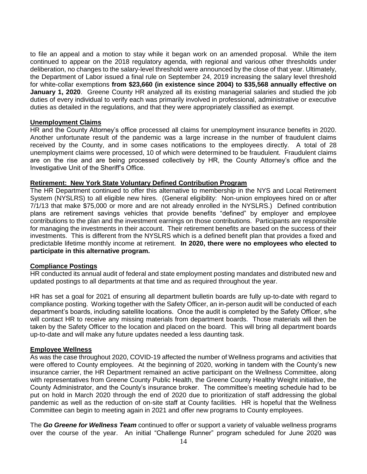to file an appeal and a motion to stay while it began work on an amended proposal. While the item continued to appear on the 2018 regulatory agenda, with regional and various other thresholds under deliberation, no changes to the salary-level threshold were announced by the close of that year. Ultimately, the Department of Labor issued a final rule on September 24, 2019 increasing the salary level threshold for white-collar exemptions **from \$23,660 (in existence since 2004) to \$35,568 annually effective on January 1, 2020**. Greene County HR analyzed all its existing managerial salaries and studied the job duties of every individual to verify each was primarily involved in professional, administrative or executive duties as detailed in the regulations, and that they were appropriately classified as exempt.

#### **Unemployment Claims**

HR and the County Attorney's office processed all claims for unemployment insurance benefits in 2020. Another unfortunate result of the pandemic was a large increase in the number of fraudulent claims received by the County, and in some cases notifications to the employees directly. A total of 28 unemployment claims were processed, 10 of which were determined to be fraudulent. Fraudulent claims are on the rise and are being processed collectively by HR, the County Attorney's office and the Investigative Unit of the Sheriff's Office.

#### **Retirement: New York State Voluntary Defined Contribution Program**

The HR Department continued to offer this alternative to membership in the NYS and Local Retirement System (NYSLRS) to all eligible new hires. (General eligibility: Non-union employees hired on or after 7/1/13 that make \$75,000 or more and are not already enrolled in the NYSLRS.) Defined contribution plans are retirement savings vehicles that provide benefits "defined" by employer and employee contributions to the plan and the investment earnings on those contributions. Participants are responsible for managing the investments in their account. Their retirement benefits are based on the success of their investments. This is different from the NYSLRS which is a defined benefit plan that provides a fixed and predictable lifetime monthly income at retirement. **In 2020, there were no employees who elected to participate in this alternative program.**

#### **Compliance Postings**

HR conducted its annual audit of federal and state employment posting mandates and distributed new and updated postings to all departments at that time and as required throughout the year.

HR has set a goal for 2021 of ensuring all department bulletin boards are fully up-to-date with regard to compliance posting. Working together with the Safety Officer, an in-person audit will be conducted of each department's boards, including satellite locations. Once the audit is completed by the Safety Officer, s/he will contact HR to receive any missing materials from department boards. Those materials will then be taken by the Safety Officer to the location and placed on the board. This will bring all department boards up-to-date and will make any future updates needed a less daunting task.

#### **Employee Wellness**

As was the case throughout 2020, COVID-19 affected the number of Wellness programs and activities that were offered to County employees. At the beginning of 2020, working in tandem with the County's new insurance carrier, the HR Department remained an active participant on the Wellness Committee, along with representatives from Greene County Public Health, the Greene County Healthy Weight initiative, the County Administrator, and the County's insurance broker. The committee's meeting schedule had to be put on hold in March 2020 through the end of 2020 due to prioritization of staff addressing the global pandemic as well as the reduction of on-site staff at County facilities. HR is hopeful that the Wellness Committee can begin to meeting again in 2021 and offer new programs to County employees.

The *Go Greene for Wellness Team* continued to offer or support a variety of valuable wellness programs over the course of the year. An initial "Challenge Runner" program scheduled for June 2020 was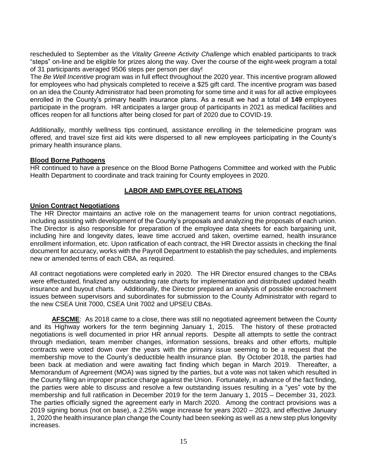rescheduled to September as the *Vitality Greene Activity Challenge* which enabled participants to track "steps" on-line and be eligible for prizes along the way. Over the course of the eight-week program a total of 31 participants averaged 9506 steps per person per day!

The *Be Well Incentive* program was in full effect throughout the 2020 year. This incentive program allowed for employees who had physicals completed to receive a \$25 gift card. The incentive program was based on an idea the County Administrator had been promoting for some time and it was for all active employees enrolled in the County's primary health insurance plans. As a result we had a total of **149** employees participate in the program. HR anticipates a larger group of participants in 2021 as medical facilities and offices reopen for all functions after being closed for part of 2020 due to COVID-19.

Additionally, monthly wellness tips continued, assistance enrolling in the telemedicine program was offered, and travel size first aid kits were dispersed to all new employees participating in the County's primary health insurance plans.

#### **Blood Borne Pathogens**

HR continued to have a presence on the Blood Borne Pathogens Committee and worked with the Public Health Department to coordinate and track training for County employees in 2020.

# **LABOR AND EMPLOYEE RELATIONS**

#### **Union Contract Negotiations**

The HR Director maintains an active role on the management teams for union contract negotiations, including assisting with development of the County's proposals and analyzing the proposals of each union. The Director is also responsible for preparation of the employee data sheets for each bargaining unit, including hire and longevity dates, leave time accrued and taken, overtime earned, health insurance enrollment information, etc. Upon ratification of each contract, the HR Director assists in checking the final document for accuracy, works with the Payroll Department to establish the pay schedules, and implements new or amended terms of each CBA, as required.

All contract negotiations were completed early in 2020. The HR Director ensured changes to the CBAs were effectuated, finalized any outstanding rate charts for implementation and distributed updated health insurance and buyout charts. Additionally, the Director prepared an analysis of possible encroachment issues between supervisors and subordinates for submission to the County Administrator with regard to the new CSEA Unit 7000, CSEA Unit 7002 and UPSEU CBAs.

AFSCME: As 2018 came to a close, there was still no negotiated agreement between the County and its Highway workers for the term beginning January 1, 2015. The history of these protracted negotiations is well documented in prior HR annual reports. Despite all attempts to settle the contract through mediation, team member changes, information sessions, breaks and other efforts, multiple contracts were voted down over the years with the primary issue seeming to be a request that the membership move to the County's deductible health insurance plan. By October 2018, the parties had been back at mediation and were awaiting fact finding which began in March 2019. Thereafter, a Memorandum of Agreement (MOA) was signed by the parties, but a vote was not taken which resulted in the County filing an improper practice charge against the Union. Fortunately, in advance of the fact finding, the parties were able to discuss and resolve a few outstanding issues resulting in a "yes" vote by the membership and full ratification in December 2019 for the term January 1, 2015 – December 31, 2023. The parties officially signed the agreement early in March 2020. Among the contract provisions was a 2019 signing bonus (not on base), a 2.25% wage increase for years 2020 – 2023, and effective January 1, 2020 the health insurance plan change the County had been seeking as well as a new step plus longevity increases.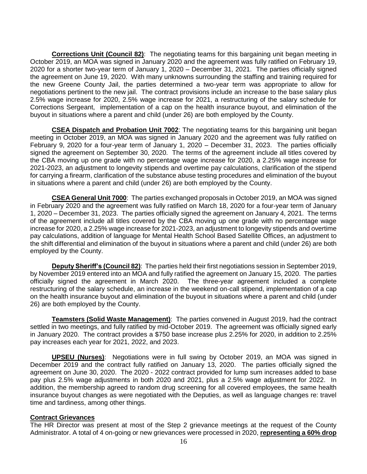**Corrections Unit (Council 82)**: The negotiating teams for this bargaining unit began meeting in October 2019, an MOA was signed in January 2020 and the agreement was fully ratified on February 19, 2020 for a shorter two-year term of January 1, 2020 – December 31, 2021. The parties officially signed the agreement on June 19, 2020. With many unknowns surrounding the staffing and training required for the new Greene County Jail, the parties determined a two-year term was appropriate to allow for negotiations pertinent to the new jail. The contract provisions include an increase to the base salary plus 2.5% wage increase for 2020, 2.5% wage increase for 2021, a restructuring of the salary schedule for Corrections Sergeant, implementation of a cap on the health insurance buyout, and elimination of the buyout in situations where a parent and child (under 26) are both employed by the County.

**CSEA Dispatch and Probation Unit 7002**: The negotiating teams for this bargaining unit began meeting in October 2019, an MOA was signed in January 2020 and the agreement was fully ratified on February 9, 2020 for a four-year term of January 1, 2020 – December 31, 2023. The parties officially signed the agreement on September 30, 2020. The terms of the agreement include all titles covered by the CBA moving up one grade with no percentage wage increase for 2020, a 2.25% wage increase for 2021-2023, an adjustment to longevity stipends and overtime pay calculations, clarification of the stipend for carrying a firearm, clarification of the substance abuse testing procedures and elimination of the buyout in situations where a parent and child (under 26) are both employed by the County.

**CSEA General Unit 7000**: The parties exchanged proposals in October 2019, an MOA was signed in February 2020 and the agreement was fully ratified on March 18, 2020 for a four-year term of January 1, 2020 – December 31, 2023. The parties officially signed the agreement on January 4, 2021. The terms of the agreement include all titles covered by the CBA moving up one grade with no percentage wage increase for 2020, a 2.25% wage increase for 2021-2023, an adjustment to longevity stipends and overtime pay calculations, addition of language for Mental Health School Based Satellite Offices, an adjustment to the shift differential and elimination of the buyout in situations where a parent and child (under 26) are both employed by the County.

**Deputy Sheriff's (Council 82)**: The parties held their first negotiations session in September 2019, by November 2019 entered into an MOA and fully ratified the agreement on January 15, 2020. The parties officially signed the agreement in March 2020. The three-year agreement included a complete restructuring of the salary schedule, an increase in the weekend on-call stipend, implementation of a cap on the health insurance buyout and elimination of the buyout in situations where a parent and child (under 26) are both employed by the County.

**Teamsters (Solid Waste Management)**: The parties convened in August 2019, had the contract settled in two meetings, and fully ratified by mid-October 2019. The agreement was officially signed early in January 2020. The contract provides a \$750 base increase plus 2.25% for 2020, in addition to 2.25% pay increases each year for 2021, 2022, and 2023.

**UPSEU (Nurses)**: Negotiations were in full swing by October 2019, an MOA was signed in December 2019 and the contract fully ratified on January 13, 2020. The parties officially signed the agreement on June 30, 2020. The 2020 - 2022 contract provided for lump sum increases added to base pay plus 2.5% wage adjustments in both 2020 and 2021, plus a 2.5% wage adjustment for 2022. In addition, the membership agreed to random drug screening for all covered employees, the same health insurance buyout changes as were negotiated with the Deputies, as well as language changes re: travel time and tardiness, among other things.

#### **Contract Grievances**

The HR Director was present at most of the Step 2 grievance meetings at the request of the County Administrator. A total of 4 on-going or new grievances were processed in 2020, **representing a 60% drop**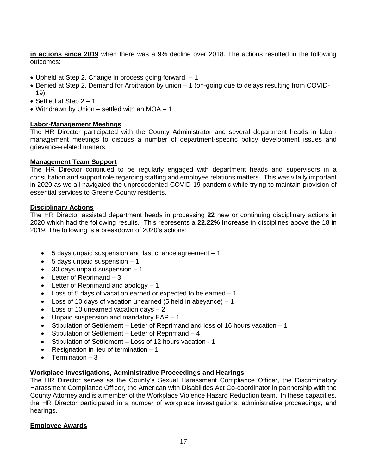**in actions since 2019** when there was a 9% decline over 2018. The actions resulted in the following outcomes:

- Upheld at Step 2. Change in process going forward. 1
- Denied at Step 2. Demand for Arbitration by union 1 (on-going due to delays resulting from COVID-19)
- Settled at Step  $2 1$
- Withdrawn by Union settled with an MOA 1

#### **Labor-Management Meetings**

The HR Director participated with the County Administrator and several department heads in labormanagement meetings to discuss a number of department-specific policy development issues and grievance-related matters.

#### **Management Team Support**

The HR Director continued to be regularly engaged with department heads and supervisors in a consultation and support role regarding staffing and employee relations matters. This was vitally important in 2020 as we all navigated the unprecedented COVID-19 pandemic while trying to maintain provision of essential services to Greene County residents.

#### **Disciplinary Actions**

The HR Director assisted department heads in processing **22** new or continuing disciplinary actions in 2020 which had the following results. This represents a **22.22% increase** in disciplines above the 18 in 2019. The following is a breakdown of 2020's actions:

- 5 days unpaid suspension and last chance agreement 1
- $\bullet$  5 days unpaid suspension  $-1$
- $\bullet$  30 days unpaid suspension  $-1$
- $\bullet$  Letter of Reprimand  $-3$
- $\bullet$  Letter of Reprimand and apology  $-1$
- Loss of 5 days of vacation earned or expected to be earned 1
- Loss of 10 days of vacation unearned (5 held in abeyance)  $-1$
- Loss of 10 unearned vacation days 2
- Unpaid suspension and mandatory EAP 1
- Stipulation of Settlement Letter of Reprimand and loss of 16 hours vacation 1
- $\bullet$  Stipulation of Settlement Letter of Reprimand 4
- Stipulation of Settlement Loss of 12 hours vacation 1
- Resignation in lieu of termination  $-1$
- Termination  $-3$

#### **Workplace Investigations, Administrative Proceedings and Hearings**

The HR Director serves as the County's Sexual Harassment Compliance Officer, the Discriminatory Harassment Compliance Officer, the American with Disabilities Act Co-coordinator in partnership with the County Attorney and is a member of the Workplace Violence Hazard Reduction team. In these capacities, the HR Director participated in a number of workplace investigations, administrative proceedings, and hearings.

#### **Employee Awards**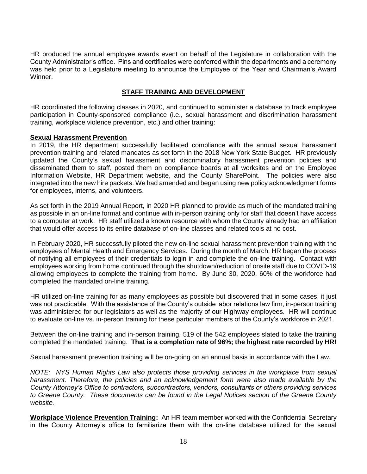HR produced the annual employee awards event on behalf of the Legislature in collaboration with the County Administrator's office. Pins and certificates were conferred within the departments and a ceremony was held prior to a Legislature meeting to announce the Employee of the Year and Chairman's Award Winner.

# **STAFF TRAINING AND DEVELOPMENT**

HR coordinated the following classes in 2020, and continued to administer a database to track employee participation in County-sponsored compliance (i.e., sexual harassment and discrimination harassment training, workplace violence prevention, etc.) and other training:

#### **Sexual Harassment Prevention**

In 2019, the HR department successfully facilitated compliance with the annual sexual harassment prevention training and related mandates as set forth in the 2018 New York State Budget. HR previously updated the County's sexual harassment and discriminatory harassment prevention policies and disseminated them to staff, posted them on compliance boards at all worksites and on the Employee Information Website, HR Department website, and the County SharePoint. The policies were also integrated into the new hire packets. We had amended and began using new policy acknowledgment forms for employees, interns, and volunteers.

As set forth in the 2019 Annual Report, in 2020 HR planned to provide as much of the mandated training as possible in an on-line format and continue with in-person training only for staff that doesn't have access to a computer at work. HR staff utilized a known resource with whom the County already had an affiliation that would offer access to its entire database of on-line classes and related tools at no cost.

In February 2020, HR successfully piloted the new on-line sexual harassment prevention training with the employees of Mental Health and Emergency Services. During the month of March, HR began the process of notifying all employees of their credentials to login in and complete the on-line training. Contact with employees working from home continued through the shutdown/reduction of onsite staff due to COVID-19 allowing employees to complete the training from home. By June 30, 2020, 60% of the workforce had completed the mandated on-line training.

HR utilized on-line training for as many employees as possible but discovered that in some cases, it just was not practicable. With the assistance of the County's outside labor relations law firm, in-person training was administered for our legislators as well as the majority of our Highway employees. HR will continue to evaluate on-line vs. in-person training for these particular members of the County's workforce in 2021.

Between the on-line training and in-person training, 519 of the 542 employees slated to take the training completed the mandated training. **That is a completion rate of 96%; the highest rate recorded by HR!**

Sexual harassment prevention training will be on-going on an annual basis in accordance with the Law.

*NOTE: NYS Human Rights Law also protects those providing services in the workplace from sexual harassment. Therefore, the policies and an acknowledgement form were also made available by the County Attorney's Office to contractors, subcontractors, vendors, consultants or others providing services to Greene County. These documents can be found in the Legal Notices section of the Greene County website.* 

**Workplace Violence Prevention Training:** An HR team member worked with the Confidential Secretary in the County Attorney's office to familiarize them with the on-line database utilized for the sexual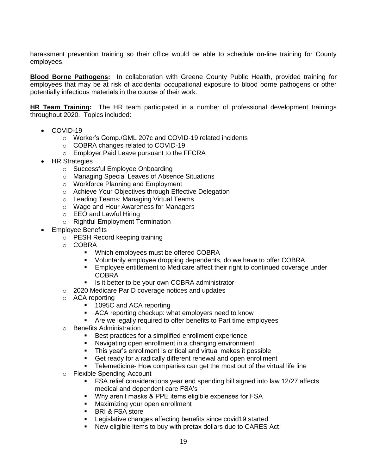harassment prevention training so their office would be able to schedule on-line training for County employees.

**Blood Borne Pathogens:** In collaboration with Greene County Public Health, provided training for employees that may be at risk of accidental occupational exposure to blood borne pathogens or other potentially infectious materials in the course of their work.

**HR Team Training:** The HR team participated in a number of professional development trainings throughout 2020. Topics included:

- COVID-19
	- o Worker's Comp./GML 207c and COVID-19 related incidents
	- o COBRA changes related to COVID-19
	- o Employer Paid Leave pursuant to the FFCRA
- HR Strategies
	- o Successful Employee Onboarding
	- o Managing Special Leaves of Absence Situations
	- o Workforce Planning and Employment
	- o Achieve Your Objectives through Effective Delegation
	- o Leading Teams: Managing Virtual Teams
	- o Wage and Hour Awareness for Managers
	- o EEO and Lawful Hiring
	- o Rightful Employment Termination
- Employee Benefits
	- o PESH Record keeping training
	- o COBRA
		- Which employees must be offered COBRA
		- Voluntarily employee dropping dependents, do we have to offer COBRA
		- Employee entitlement to Medicare affect their right to continued coverage under COBRA
		- Is it better to be your own COBRA administrator
	- o 2020 Medicare Par D coverage notices and updates
	- o ACA reporting
		- 1095C and ACA reporting
		- **ACA reporting checkup: what employers need to know**
		- **EXT** Are we legally required to offer benefits to Part time employees
	- o Benefits Administration
		- **Best practices for a simplified enrollment experience**
		- Navigating open enrollment in a changing environment
		- **This year's enrollment is critical and virtual makes it possible**
		- Get ready for a radically different renewal and open enrollment
		- Telemedicine- How companies can get the most out of the virtual life line
	- o Flexible Spending Account
		- FSA relief considerations year end spending bill signed into law 12/27 affects medical and dependent care FSA's
		- Why aren't masks & PPE items eligible expenses for FSA
		- **Maximizing your open enrollment**
		- **BRI & FSA store**
		- **EXECT** Legislative changes affecting benefits since covid19 started
		- New eligible items to buy with pretax dollars due to CARES Act